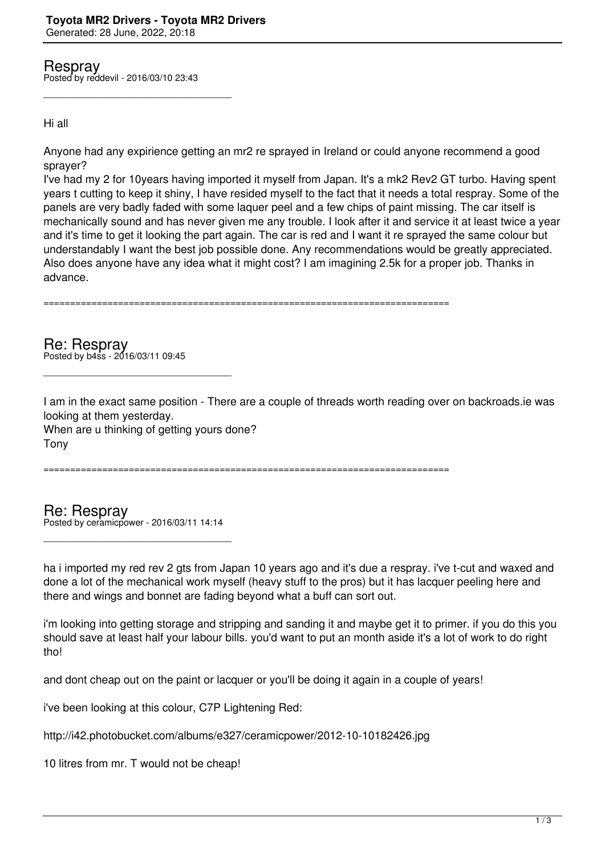Respray Posted by reddevil - 2016/03/10 23:43

\_\_\_\_\_\_\_\_\_\_\_\_\_\_\_\_\_\_\_\_\_\_\_\_\_\_\_\_\_\_\_\_\_\_\_\_\_

## Hi all

Anyone had any expirience getting an mr2 re sprayed in Ireland or could anyone recommend a good sprayer?

I've had my 2 for 10years having imported it myself from Japan. It's a mk2 Rev2 GT turbo. Having spent years t cutting to keep it shiny, I have resided myself to the fact that it needs a total respray. Some of the panels are very badly faded with some laquer peel and a few chips of paint missing. The car itself is mechanically sound and has never given me any trouble. I look after it and service it at least twice a year and it's time to get it looking the part again. The car is red and I want it re sprayed the same colour but understandably I want the best job possible done. Any recommendations would be greatly appreciated. Also does anyone have any idea what it might cost? I am imagining 2.5k for a proper job. Thanks in advance.

============================================================================

Re: Respray Posted by b4ss - 2016/03/11 09:45

I am in the exact same position - There are a couple of threads worth reading over on backroads.ie was looking at them yesterday.

When are u thinking of getting yours done? Tony

\_\_\_\_\_\_\_\_\_\_\_\_\_\_\_\_\_\_\_\_\_\_\_\_\_\_\_\_\_\_\_\_\_\_\_\_\_

============================================================================

Re: Respray Posted by ceramicpower - 2016/03/11 14:14

\_\_\_\_\_\_\_\_\_\_\_\_\_\_\_\_\_\_\_\_\_\_\_\_\_\_\_\_\_\_\_\_\_\_\_\_\_

ha i imported my red rev 2 gts from Japan 10 years ago and it's due a respray. i've t-cut and waxed and done a lot of the mechanical work myself (heavy stuff to the pros) but it has lacquer peeling here and there and wings and bonnet are fading beyond what a buff can sort out.

i'm looking into getting storage and stripping and sanding it and maybe get it to primer. if you do this you should save at least half your labour bills. you'd want to put an month aside it's a lot of work to do right tho!

and dont cheap out on the paint or lacquer or you'll be doing it again in a couple of years!

i've been looking at this colour, C7P Lightening Red:

http://i42.photobucket.com/albums/e327/ceramicpower/2012-10-10182426.jpg

10 litres from mr. T would not be cheap!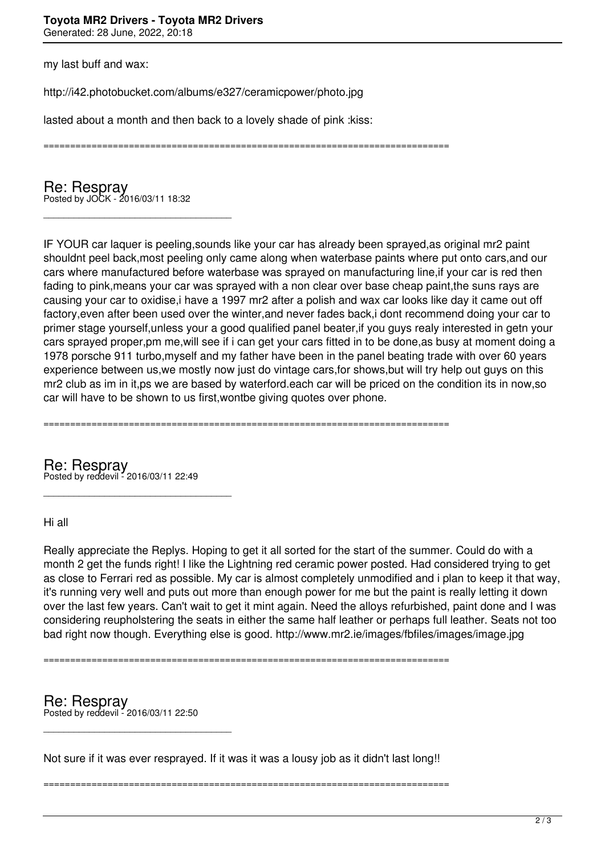my last buff and wax:

http://i42.photobucket.com/albums/e327/ceramicpower/photo.jpg

lasted about a month and then back to a lovely shade of pink :kiss:

============================================================================

Re: Respray Posted by JOCK - 2016/03/11 18:32

\_\_\_\_\_\_\_\_\_\_\_\_\_\_\_\_\_\_\_\_\_\_\_\_\_\_\_\_\_\_\_\_\_\_\_\_\_

IF YOUR car laquer is peeling,sounds like your car has already been sprayed,as original mr2 paint shouldnt peel back,most peeling only came along when waterbase paints where put onto cars,and our cars where manufactured before waterbase was sprayed on manufacturing line,if your car is red then fading to pink,means your car was sprayed with a non clear over base cheap paint,the suns rays are causing your car to oxidise,i have a 1997 mr2 after a polish and wax car looks like day it came out off factory,even after been used over the winter,and never fades back,i dont recommend doing your car to primer stage yourself,unless your a good qualified panel beater,if you guys realy interested in getn your cars sprayed proper,pm me,will see if i can get your cars fitted in to be done,as busy at moment doing a 1978 porsche 911 turbo,myself and my father have been in the panel beating trade with over 60 years experience between us,we mostly now just do vintage cars,for shows,but will try help out guys on this mr2 club as im in it,ps we are based by waterford, each car will be priced on the condition its in now, so car will have to be shown to us first,wontbe giving quotes over phone.

============================================================================

Re: Respray Posted by reddevil - 2016/03/11 22:49

\_\_\_\_\_\_\_\_\_\_\_\_\_\_\_\_\_\_\_\_\_\_\_\_\_\_\_\_\_\_\_\_\_\_\_\_\_

Hi all

Really appreciate the Replys. Hoping to get it all sorted for the start of the summer. Could do with a month 2 get the funds right! I like the Lightning red ceramic power posted. Had considered trying to get as close to Ferrari red as possible. My car is almost completely unmodified and i plan to keep it that way, it's running very well and puts out more than enough power for me but the paint is really letting it down over the last few years. Can't wait to get it mint again. Need the alloys refurbished, paint done and I was considering reupholstering the seats in either the same half leather or perhaps full leather. Seats not too bad right now though. Everything else is good. http://www.mr2.ie/images/fbfiles/images/image.jpg

============================================================================

Re: Respray Posted by reddevil - 2016/03/11 22:50

\_\_\_\_\_\_\_\_\_\_\_\_\_\_\_\_\_\_\_\_\_\_\_\_\_\_\_\_\_\_\_\_\_\_\_\_\_

Not sure if it was ever resprayed. If it was it was a lousy job as it didn't last long!!

============================================================================